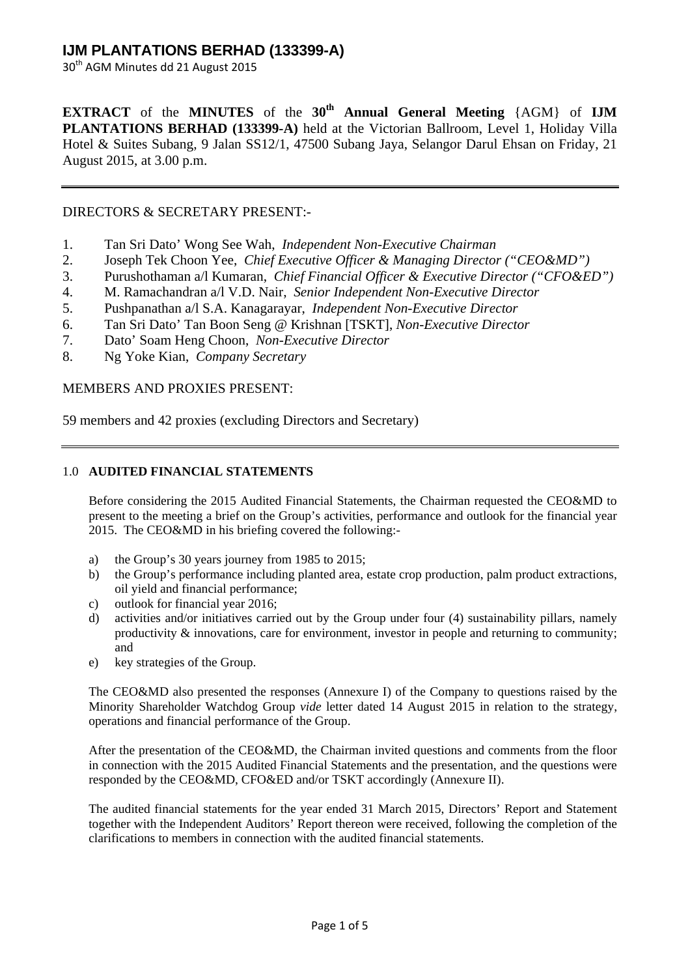30<sup>th</sup> AGM Minutes dd 21 August 2015

**EXTRACT** of the **MINUTES** of the 30<sup>th</sup> Annual General Meeting {AGM} of **IJM PLANTATIONS BERHAD (133399-A)** held at the Victorian Ballroom, Level 1, Holiday Villa Hotel & Suites Subang, 9 Jalan SS12/1, 47500 Subang Jaya, Selangor Darul Ehsan on Friday, 21 August 2015, at 3.00 p.m.

### DIRECTORS & SECRETARY PRESENT:-

- 1. Tan Sri Dato' Wong See Wah, *Independent Non-Executive Chairman*
- 2. Joseph Tek Choon Yee, *Chief Executive Officer & Managing Director ("CEO&MD")*
- 3. Purushothaman a/l Kumaran, *Chief Financial Officer & Executive Director ("CFO&ED")*
- 4. M. Ramachandran a/l V.D. Nair, *Senior Independent Non-Executive Director*
- 5. Pushpanathan a/l S.A. Kanagarayar, *Independent Non-Executive Director*
- 6. Tan Sri Dato' Tan Boon Seng @ Krishnan [TSKT], *Non-Executive Director*
- 7. Dato' Soam Heng Choon, *Non-Executive Director*
- 8. Ng Yoke Kian, *Company Secretary*

### MEMBERS AND PROXIES PRESENT:

59 members and 42 proxies (excluding Directors and Secretary)

### 1.0 **AUDITED FINANCIAL STATEMENTS**

Before considering the 2015 Audited Financial Statements, the Chairman requested the CEO&MD to present to the meeting a brief on the Group's activities, performance and outlook for the financial year 2015. The CEO&MD in his briefing covered the following:-

- a) the Group's 30 years journey from 1985 to 2015;
- b) the Group's performance including planted area, estate crop production, palm product extractions, oil yield and financial performance;
- c) outlook for financial year 2016;
- d) activities and/or initiatives carried out by the Group under four (4) sustainability pillars, namely productivity  $\&$  innovations, care for environment, investor in people and returning to community; and
- e) key strategies of the Group.

The CEO&MD also presented the responses (Annexure I) of the Company to questions raised by the Minority Shareholder Watchdog Group *vide* letter dated 14 August 2015 in relation to the strategy, operations and financial performance of the Group.

After the presentation of the CEO&MD, the Chairman invited questions and comments from the floor in connection with the 2015 Audited Financial Statements and the presentation, and the questions were responded by the CEO&MD, CFO&ED and/or TSKT accordingly (Annexure II).

The audited financial statements for the year ended 31 March 2015, Directors' Report and Statement together with the Independent Auditors' Report thereon were received, following the completion of the clarifications to members in connection with the audited financial statements.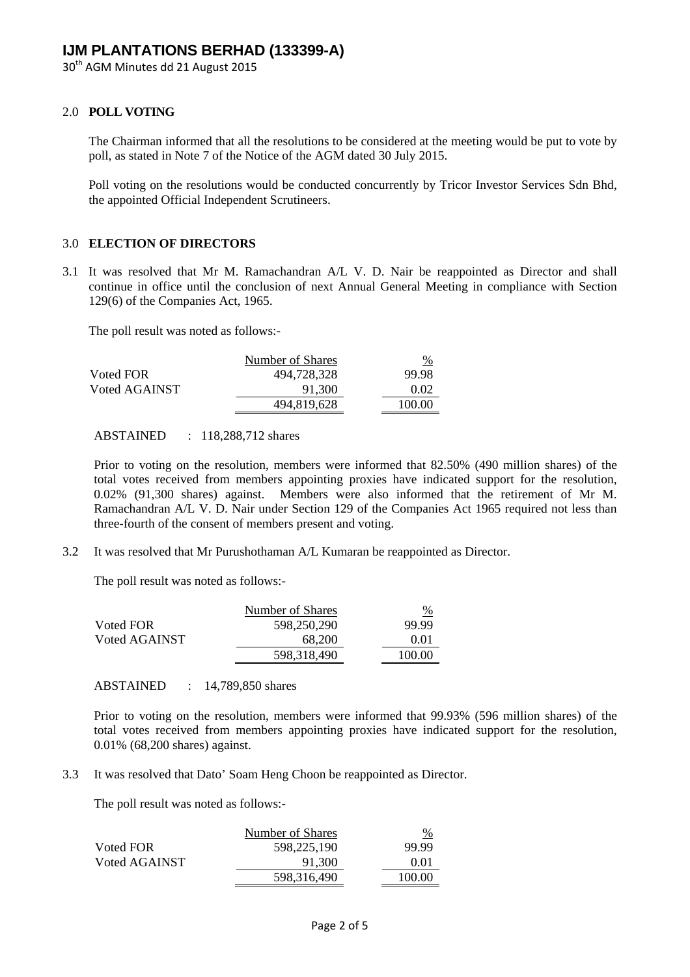30<sup>th</sup> AGM Minutes dd 21 August 2015

### 2.0 **POLL VOTING**

The Chairman informed that all the resolutions to be considered at the meeting would be put to vote by poll, as stated in Note 7 of the Notice of the AGM dated 30 July 2015.

Poll voting on the resolutions would be conducted concurrently by Tricor Investor Services Sdn Bhd, the appointed Official Independent Scrutineers.

#### 3.0 **ELECTION OF DIRECTORS**

3.1 It was resolved that Mr M. Ramachandran A/L V. D. Nair be reappointed as Director and shall continue in office until the conclusion of next Annual General Meeting in compliance with Section 129(6) of the Companies Act, 1965.

The poll result was noted as follows:-

|               | Number of Shares | <u>%</u> |
|---------------|------------------|----------|
| Voted FOR     | 494,728,328      | 99.98    |
| Voted AGAINST | 91.300           | 0.02     |
|               | 494,819,628      | 100.00   |

ABSTAINED : 118,288,712 shares

Prior to voting on the resolution, members were informed that 82.50% (490 million shares) of the total votes received from members appointing proxies have indicated support for the resolution, 0.02% (91,300 shares) against. Members were also informed that the retirement of Mr M. Ramachandran A/L V. D. Nair under Section 129 of the Companies Act 1965 required not less than three-fourth of the consent of members present and voting.

3.2 It was resolved that Mr Purushothaman A/L Kumaran be reappointed as Director.

The poll result was noted as follows:-

|               | Number of Shares | %      |
|---------------|------------------|--------|
| Voted FOR     | 598.250.290      | 99.99  |
| Voted AGAINST | 68,200           | 0.01   |
|               | 598,318,490      | 100.00 |

ABSTAINED : 14,789,850 shares

Prior to voting on the resolution, members were informed that 99.93% (596 million shares) of the total votes received from members appointing proxies have indicated support for the resolution, 0.01% (68,200 shares) against.

3.3 It was resolved that Dato' Soam Heng Choon be reappointed as Director.

The poll result was noted as follows:-

| Number of Shares | $\frac{9}{6}$ |
|------------------|---------------|
| 598.225.190      | 99.99         |
| 91.300           | 0.01          |
| 598,316,490      | 100.00        |
|                  |               |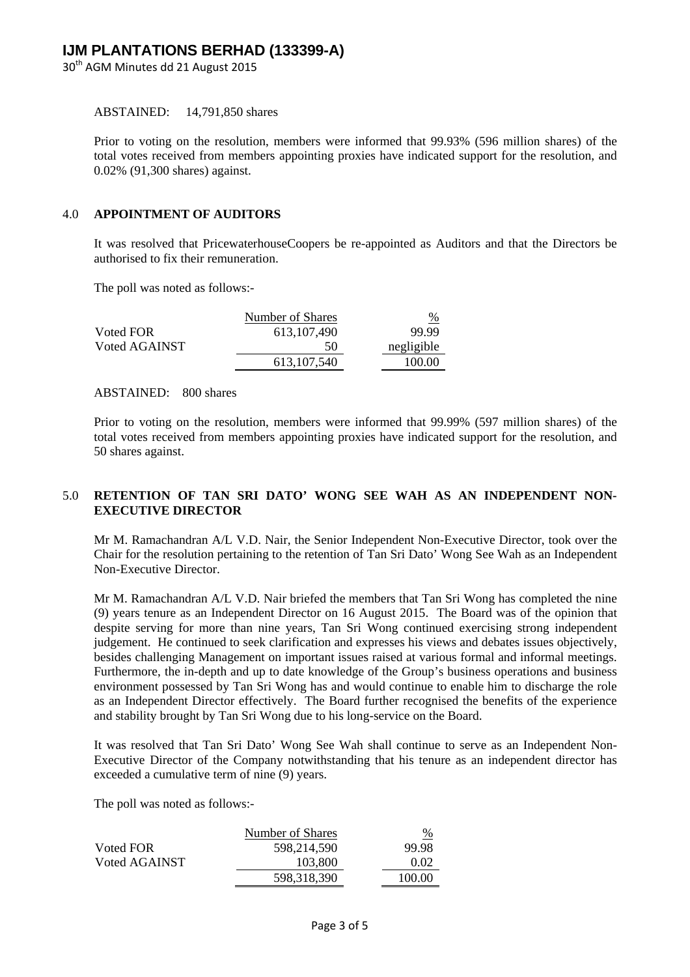30<sup>th</sup> AGM Minutes dd 21 August 2015

ABSTAINED: 14,791,850 shares

Prior to voting on the resolution, members were informed that 99.93% (596 million shares) of the total votes received from members appointing proxies have indicated support for the resolution, and 0.02% (91,300 shares) against.

#### 4.0 **APPOINTMENT OF AUDITORS**

It was resolved that PricewaterhouseCoopers be re-appointed as Auditors and that the Directors be authorised to fix their remuneration.

The poll was noted as follows:-

|               | Number of Shares | $\frac{9}{6}$ |
|---------------|------------------|---------------|
| Voted FOR     | 613.107.490      | 99.99         |
| Voted AGAINST | 50               | negligible    |
|               | 613.107.540      | 100.00        |

#### ABSTAINED: 800 shares

Prior to voting on the resolution, members were informed that 99.99% (597 million shares) of the total votes received from members appointing proxies have indicated support for the resolution, and 50 shares against.

### 5.0 **RETENTION OF TAN SRI DATO' WONG SEE WAH AS AN INDEPENDENT NON-EXECUTIVE DIRECTOR**

Mr M. Ramachandran A/L V.D. Nair, the Senior Independent Non-Executive Director, took over the Chair for the resolution pertaining to the retention of Tan Sri Dato' Wong See Wah as an Independent Non-Executive Director.

Mr M. Ramachandran A/L V.D. Nair briefed the members that Tan Sri Wong has completed the nine (9) years tenure as an Independent Director on 16 August 2015. The Board was of the opinion that despite serving for more than nine years, Tan Sri Wong continued exercising strong independent judgement. He continued to seek clarification and expresses his views and debates issues objectively, besides challenging Management on important issues raised at various formal and informal meetings. Furthermore, the in-depth and up to date knowledge of the Group's business operations and business environment possessed by Tan Sri Wong has and would continue to enable him to discharge the role as an Independent Director effectively. The Board further recognised the benefits of the experience and stability brought by Tan Sri Wong due to his long-service on the Board.

It was resolved that Tan Sri Dato' Wong See Wah shall continue to serve as an Independent Non-Executive Director of the Company notwithstanding that his tenure as an independent director has exceeded a cumulative term of nine (9) years.

The poll was noted as follows:-

|               | Number of Shares | $\frac{\%}{\%}$ |
|---------------|------------------|-----------------|
| Voted FOR     | 598.214.590      | 99.98           |
| Voted AGAINST | 103,800          | 0.02            |
|               | 598,318,390      | 100.00          |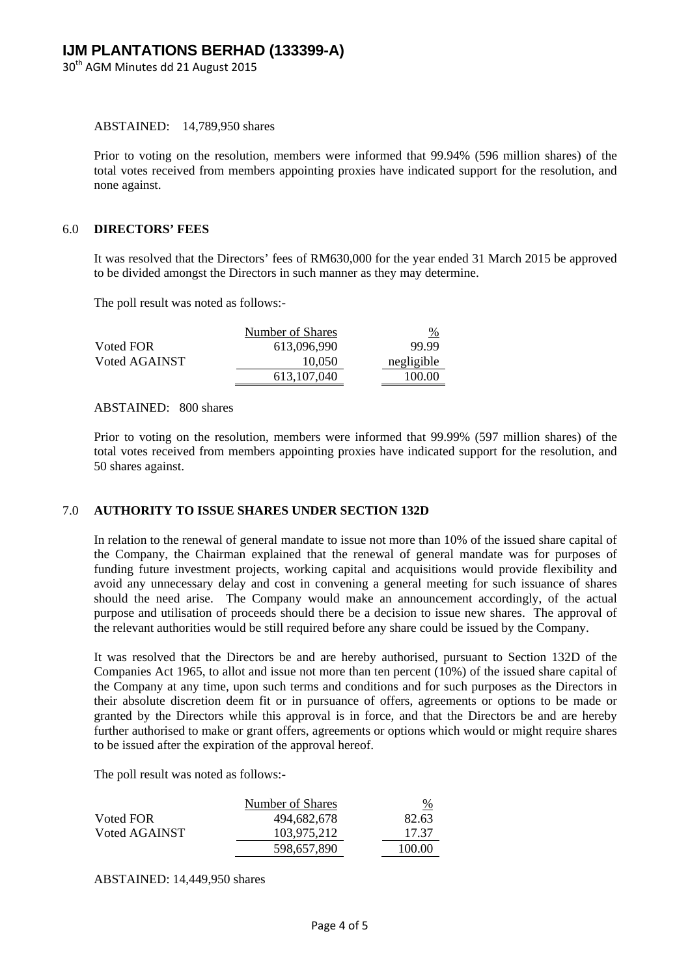30<sup>th</sup> AGM Minutes dd 21 August 2015

ABSTAINED: 14,789,950 shares

Prior to voting on the resolution, members were informed that 99.94% (596 million shares) of the total votes received from members appointing proxies have indicated support for the resolution, and none against.

#### 6.0 **DIRECTORS' FEES**

It was resolved that the Directors' fees of RM630,000 for the year ended 31 March 2015 be approved to be divided amongst the Directors in such manner as they may determine.

The poll result was noted as follows:-

|               | Number of Shares | $\%$       |
|---------------|------------------|------------|
| Voted FOR     | 613,096,990      | 99.99      |
| Voted AGAINST | 10.050           | negligible |
|               | 613.107.040      | 100.00     |

ABSTAINED: 800 shares

Prior to voting on the resolution, members were informed that 99.99% (597 million shares) of the total votes received from members appointing proxies have indicated support for the resolution, and 50 shares against.

### 7.0 **AUTHORITY TO ISSUE SHARES UNDER SECTION 132D**

In relation to the renewal of general mandate to issue not more than 10% of the issued share capital of the Company, the Chairman explained that the renewal of general mandate was for purposes of funding future investment projects, working capital and acquisitions would provide flexibility and avoid any unnecessary delay and cost in convening a general meeting for such issuance of shares should the need arise. The Company would make an announcement accordingly, of the actual purpose and utilisation of proceeds should there be a decision to issue new shares. The approval of the relevant authorities would be still required before any share could be issued by the Company.

It was resolved that the Directors be and are hereby authorised, pursuant to Section 132D of the Companies Act 1965, to allot and issue not more than ten percent (10%) of the issued share capital of the Company at any time, upon such terms and conditions and for such purposes as the Directors in their absolute discretion deem fit or in pursuance of offers, agreements or options to be made or granted by the Directors while this approval is in force, and that the Directors be and are hereby further authorised to make or grant offers, agreements or options which would or might require shares to be issued after the expiration of the approval hereof.

The poll result was noted as follows:-

|               | Number of Shares | %      |
|---------------|------------------|--------|
| Voted FOR     | 494,682,678      | 82.63  |
| Voted AGAINST | 103.975.212      | 17.37  |
|               | 598.657.890      | 100.00 |

ABSTAINED: 14,449,950 shares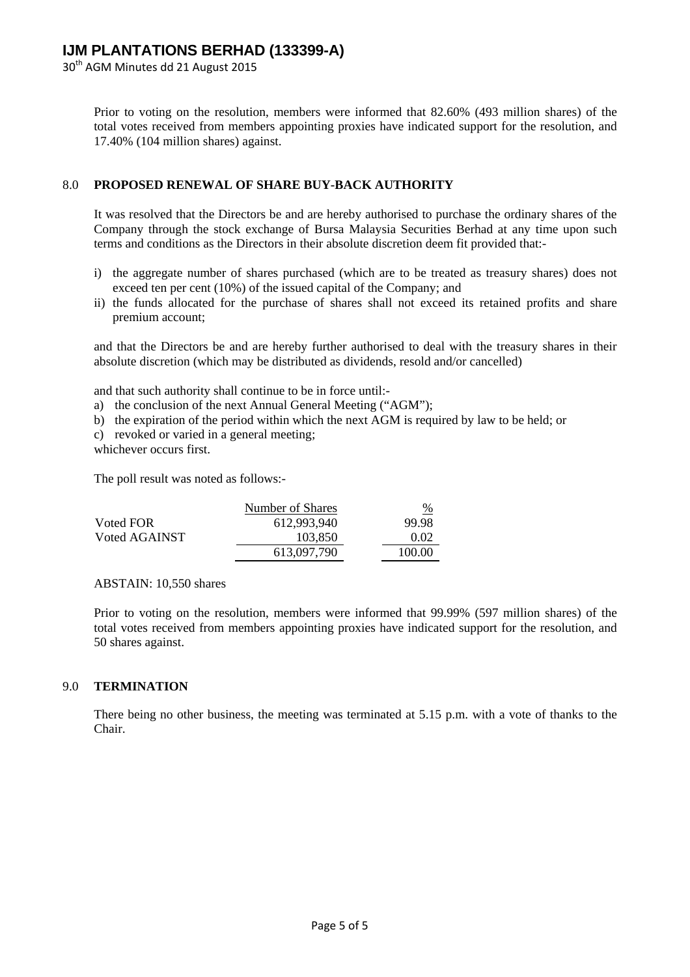30<sup>th</sup> AGM Minutes dd 21 August 2015

Prior to voting on the resolution, members were informed that 82.60% (493 million shares) of the total votes received from members appointing proxies have indicated support for the resolution, and 17.40% (104 million shares) against.

### 8.0 **PROPOSED RENEWAL OF SHARE BUY-BACK AUTHORITY**

It was resolved that the Directors be and are hereby authorised to purchase the ordinary shares of the Company through the stock exchange of Bursa Malaysia Securities Berhad at any time upon such terms and conditions as the Directors in their absolute discretion deem fit provided that:-

- i) the aggregate number of shares purchased (which are to be treated as treasury shares) does not exceed ten per cent (10%) of the issued capital of the Company; and
- ii) the funds allocated for the purchase of shares shall not exceed its retained profits and share premium account;

and that the Directors be and are hereby further authorised to deal with the treasury shares in their absolute discretion (which may be distributed as dividends, resold and/or cancelled)

and that such authority shall continue to be in force until:-

- a) the conclusion of the next Annual General Meeting ("AGM");
- b) the expiration of the period within which the next AGM is required by law to be held; or
- c) revoked or varied in a general meeting;

whichever occurs first.

The poll result was noted as follows:-

|               | Number of Shares | $\frac{9}{6}$ |
|---------------|------------------|---------------|
| Voted FOR     | 612.993.940      | 99.98         |
| Voted AGAINST | 103.850          | 0.02          |
|               | 613,097,790      | 100.00        |

ABSTAIN: 10,550 shares

Prior to voting on the resolution, members were informed that 99.99% (597 million shares) of the total votes received from members appointing proxies have indicated support for the resolution, and 50 shares against.

### 9.0 **TERMINATION**

There being no other business, the meeting was terminated at 5.15 p.m. with a vote of thanks to the Chair.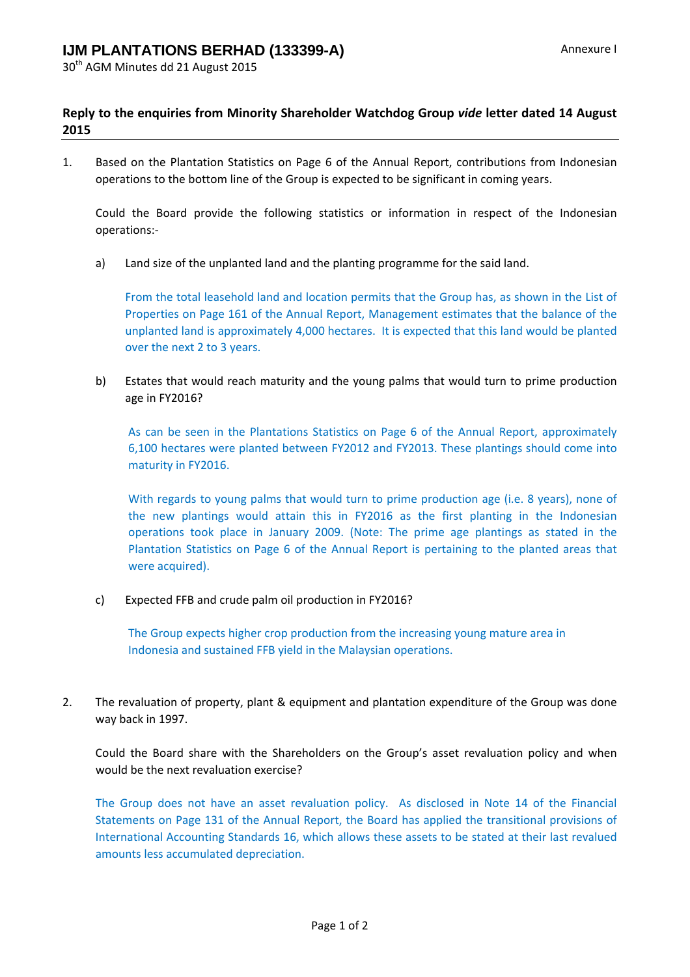## **Reply to the enquiries from Minority Shareholder Watchdog Group** *vide* **letter dated 14 August 2015**

1. Based on the Plantation Statistics on Page 6 of the Annual Report, contributions from Indonesian operations to the bottom line of the Group is expected to be significant in coming years.

Could the Board provide the following statistics or information in respect of the Indonesian operations:‐

a) Land size of the unplanted land and the planting programme for the said land.

From the total leasehold land and location permits that the Group has, as shown in the List of Properties on Page 161 of the Annual Report, Management estimates that the balance of the unplanted land is approximately 4,000 hectares. It is expected that this land would be planted over the next 2 to 3 years.

b) Estates that would reach maturity and the young palms that would turn to prime production age in FY2016?

As can be seen in the Plantations Statistics on Page 6 of the Annual Report, approximately 6,100 hectares were planted between FY2012 and FY2013. These plantings should come into maturity in FY2016.

With regards to young palms that would turn to prime production age (i.e. 8 years), none of the new plantings would attain this in FY2016 as the first planting in the Indonesian operations took place in January 2009. (Note: The prime age plantings as stated in the Plantation Statistics on Page 6 of the Annual Report is pertaining to the planted areas that were acquired).

c) Expected FFB and crude palm oil production in FY2016?

The Group expects higher crop production from the increasing young mature area in Indonesia and sustained FFB yield in the Malaysian operations.

2. The revaluation of property, plant & equipment and plantation expenditure of the Group was done way back in 1997.

Could the Board share with the Shareholders on the Group's asset revaluation policy and when would be the next revaluation exercise?

The Group does not have an asset revaluation policy. As disclosed in Note 14 of the Financial Statements on Page 131 of the Annual Report, the Board has applied the transitional provisions of International Accounting Standards 16, which allows these assets to be stated at their last revalued amounts less accumulated depreciation.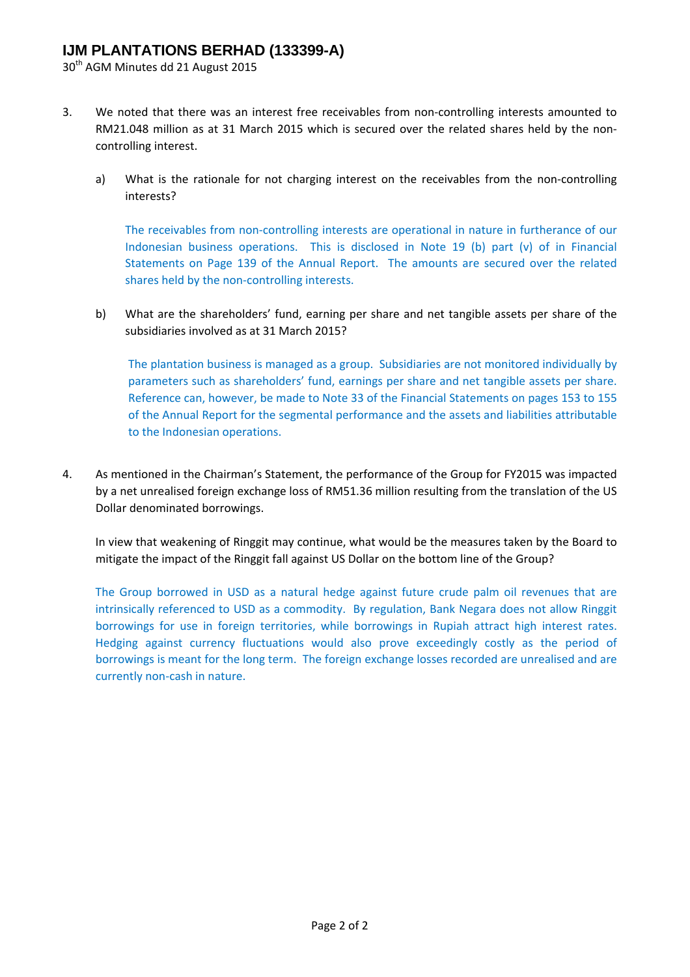30<sup>th</sup> AGM Minutes dd 21 August 2015

- 3. We noted that there was an interest free receivables from non-controlling interests amounted to RM21.048 million as at 31 March 2015 which is secured over the related shares held by the noncontrolling interest.
	- a) What is the rationale for not charging interest on the receivables from the non-controlling interests?

The receivables from non-controlling interests are operational in nature in furtherance of our Indonesian business operations. This is disclosed in Note 19 (b) part (v) of in Financial Statements on Page 139 of the Annual Report. The amounts are secured over the related shares held by the non‐controlling interests.

b) What are the shareholders' fund, earning per share and net tangible assets per share of the subsidiaries involved as at 31 March 2015?

The plantation business is managed as a group. Subsidiaries are not monitored individually by parameters such as shareholders' fund, earnings per share and net tangible assets per share. Reference can, however, be made to Note 33 of the Financial Statements on pages 153 to 155 of the Annual Report for the segmental performance and the assets and liabilities attributable to the Indonesian operations.

4. As mentioned in the Chairman's Statement, the performance of the Group for FY2015 was impacted by a net unrealised foreign exchange loss of RM51.36 million resulting from the translation of the US Dollar denominated borrowings.

In view that weakening of Ringgit may continue, what would be the measures taken by the Board to mitigate the impact of the Ringgit fall against US Dollar on the bottom line of the Group?

The Group borrowed in USD as a natural hedge against future crude palm oil revenues that are intrinsically referenced to USD as a commodity. By regulation, Bank Negara does not allow Ringgit borrowings for use in foreign territories, while borrowings in Rupiah attract high interest rates. Hedging against currency fluctuations would also prove exceedingly costly as the period of borrowings is meant for the long term. The foreign exchange losses recorded are unrealised and are currently non‐cash in nature.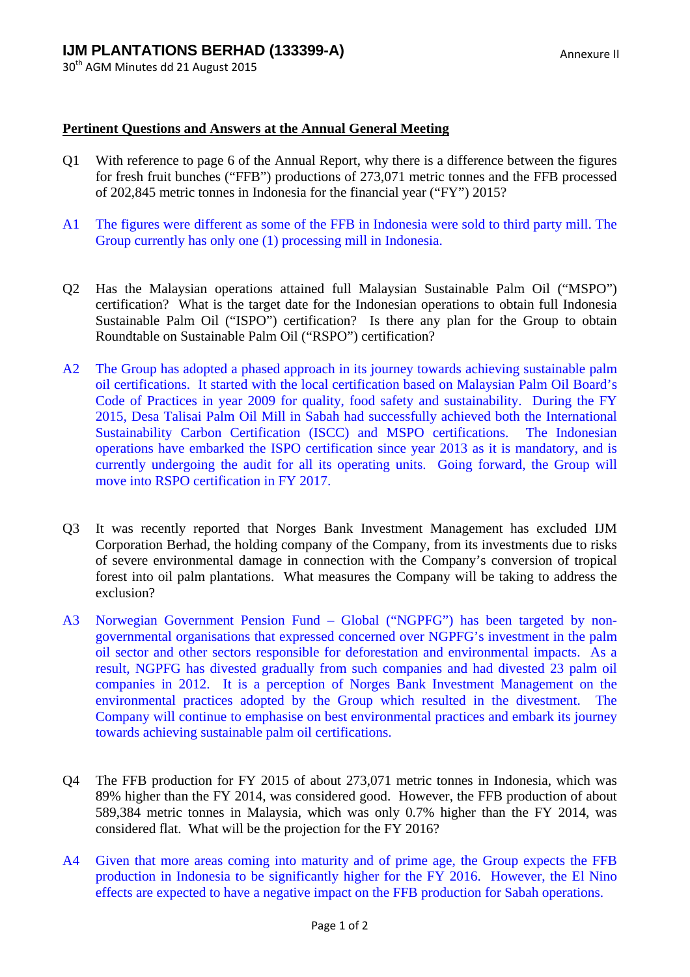30<sup>th</sup> AGM Minutes dd 21 August 2015

## **Pertinent Questions and Answers at the Annual General Meeting**

- Q1 With reference to page 6 of the Annual Report, why there is a difference between the figures for fresh fruit bunches ("FFB") productions of 273,071 metric tonnes and the FFB processed of 202,845 metric tonnes in Indonesia for the financial year ("FY") 2015?
- A1 The figures were different as some of the FFB in Indonesia were sold to third party mill. The Group currently has only one (1) processing mill in Indonesia.
- Q2 Has the Malaysian operations attained full Malaysian Sustainable Palm Oil ("MSPO") certification? What is the target date for the Indonesian operations to obtain full Indonesia Sustainable Palm Oil ("ISPO") certification? Is there any plan for the Group to obtain Roundtable on Sustainable Palm Oil ("RSPO") certification?
- A2 The Group has adopted a phased approach in its journey towards achieving sustainable palm oil certifications. It started with the local certification based on Malaysian Palm Oil Board's Code of Practices in year 2009 for quality, food safety and sustainability. During the FY 2015, Desa Talisai Palm Oil Mill in Sabah had successfully achieved both the International Sustainability Carbon Certification (ISCC) and MSPO certifications. The Indonesian operations have embarked the ISPO certification since year 2013 as it is mandatory, and is currently undergoing the audit for all its operating units. Going forward, the Group will move into RSPO certification in FY 2017.
- Q3 It was recently reported that Norges Bank Investment Management has excluded IJM Corporation Berhad, the holding company of the Company, from its investments due to risks of severe environmental damage in connection with the Company's conversion of tropical forest into oil palm plantations. What measures the Company will be taking to address the exclusion?
- A3 Norwegian Government Pension Fund Global ("NGPFG") has been targeted by nongovernmental organisations that expressed concerned over NGPFG's investment in the palm oil sector and other sectors responsible for deforestation and environmental impacts. As a result, NGPFG has divested gradually from such companies and had divested 23 palm oil companies in 2012. It is a perception of Norges Bank Investment Management on the environmental practices adopted by the Group which resulted in the divestment. The Company will continue to emphasise on best environmental practices and embark its journey towards achieving sustainable palm oil certifications.
- Q4 The FFB production for FY 2015 of about 273,071 metric tonnes in Indonesia, which was 89% higher than the FY 2014, was considered good. However, the FFB production of about 589,384 metric tonnes in Malaysia, which was only 0.7% higher than the FY 2014, was considered flat. What will be the projection for the FY 2016?
- A4 Given that more areas coming into maturity and of prime age, the Group expects the FFB production in Indonesia to be significantly higher for the FY 2016. However, the El Nino effects are expected to have a negative impact on the FFB production for Sabah operations.